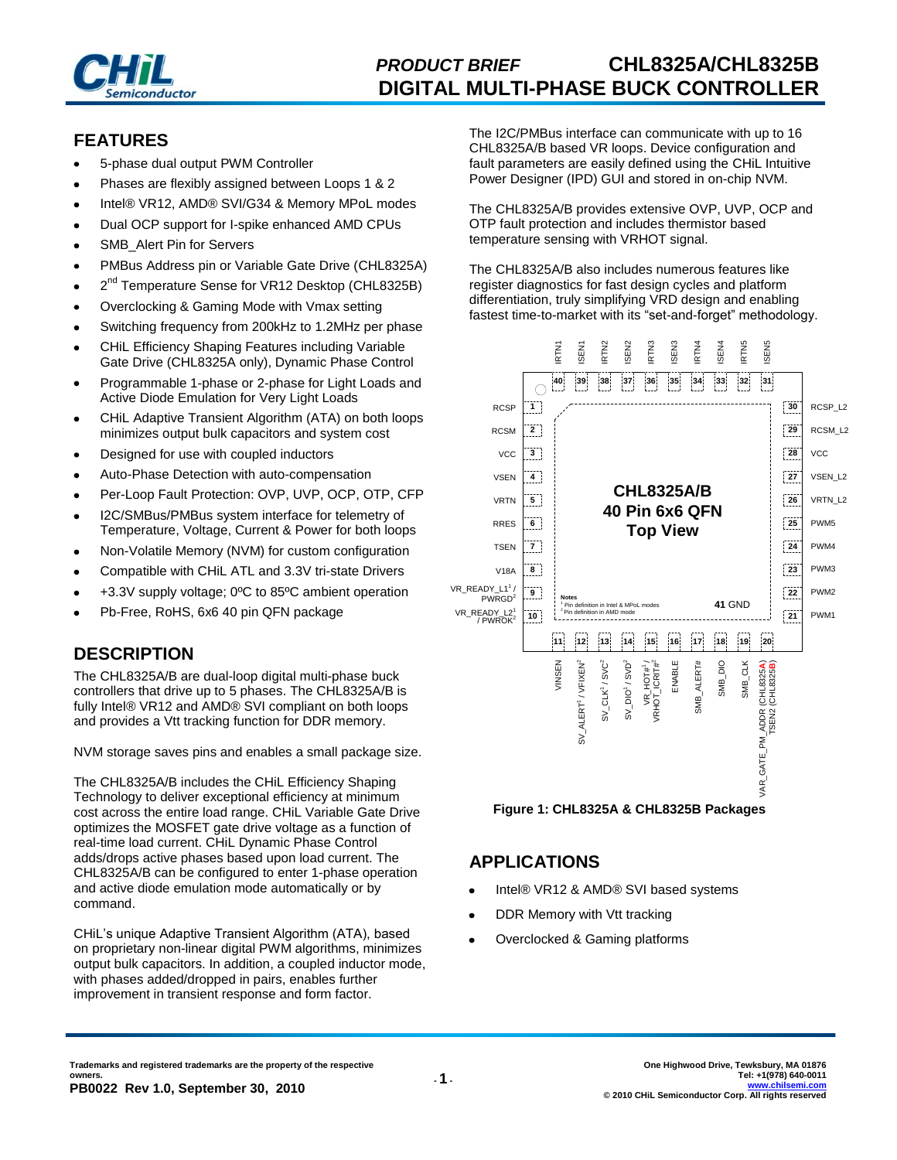

# *PRODUCT BRIEF* **CHL8325A/CHL8325B DIGITAL MULTI-PHASE BUCK CONTROLLER**

### **FEATURES**

- 5-phase dual output PWM Controller
- Phases are flexibly assigned between Loops 1 & 2
- Intel® VR12, AMD® SVI/G34 & Memory MPoL modes
- Dual OCP support for I-spike enhanced AMD CPUs
- SMB\_Alert Pin for Servers
- PMBus Address pin or Variable Gate Drive (CHL8325A)
- 2<sup>nd</sup> Temperature Sense for VR12 Desktop (CHL8325B)
- Overclocking & Gaming Mode with Vmax setting
- Switching frequency from 200kHz to 1.2MHz per phase
- CHiL Efficiency Shaping Features including Variable Gate Drive (CHL8325A only), Dynamic Phase Control
- Programmable 1-phase or 2-phase for Light Loads and Active Diode Emulation for Very Light Loads
- CHiL Adaptive Transient Algorithm (ATA) on both loops minimizes output bulk capacitors and system cost
- Designed for use with coupled inductors
- Auto-Phase Detection with auto-compensation
- Per-Loop Fault Protection: OVP, UVP, OCP, OTP, CFP
- I2C/SMBus/PMBus system interface for telemetry of Temperature, Voltage, Current & Power for both loops
- Non-Volatile Memory (NVM) for custom configuration
- Compatible with CHiL ATL and 3.3V tri-state Drivers
- +3.3V supply voltage; 0ºC to 85ºC ambient operation
- Pb-Free, RoHS, 6x6 40 pin QFN package

# **DESCRIPTION**

The CHL8325A/B are dual-loop digital multi-phase buck controllers that drive up to 5 phases. The CHL8325A/B is fully Intel® VR12 and AMD® SVI compliant on both loops and provides a Vtt tracking function for DDR memory.

NVM storage saves pins and enables a small package size.

The CHL8325A/B includes the CHiL Efficiency Shaping Technology to deliver exceptional efficiency at minimum cost across the entire load range. CHiL Variable Gate Drive optimizes the MOSFET gate drive voltage as a function of real-time load current. CHiL Dynamic Phase Control adds/drops active phases based upon load current. The CHL8325A/B can be configured to enter 1-phase operation and active diode emulation mode automatically or by command.

CHiL's unique Adaptive Transient Algorithm (ATA), based on proprietary non-linear digital PWM algorithms, minimizes output bulk capacitors. In addition, a coupled inductor mode, with phases added/dropped in pairs, enables further improvement in transient response and form factor.

The I2C/PMBus interface can communicate with up to 16 CHL8325A/B based VR loops. Device configuration and fault parameters are easily defined using the CHiL Intuitive Power Designer (IPD) GUI and stored in on-chip NVM.

The CHL8325A/B provides extensive OVP, UVP, OCP and OTP fault protection and includes thermistor based temperature sensing with VRHOT signal.

The CHL8325A/B also includes numerous features like register diagnostics for fast design cycles and platform differentiation, truly simplifying VRD design and enabling fastest time-to-market with its "set-and-forget" methodology.



**Figure 1: CHL8325A & CHL8325B Packages**

### **APPLICATIONS**

- Intel® VR12 & AMD® SVI based systems
- DDR Memory with Vtt tracking
- Overclocked & Gaming platforms